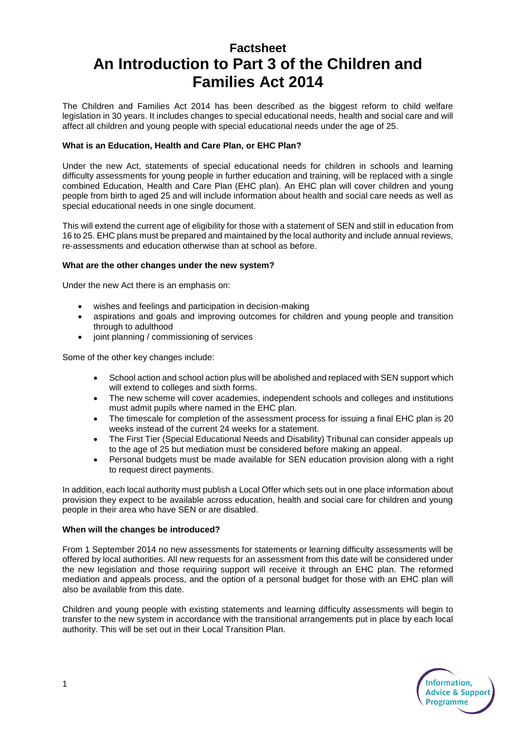## **Factsheet An Introduction to Part 3 of the Children and Families Act 2014**

The Children and Families Act 2014 has been described as the biggest reform to child welfare legislation in 30 years. It includes changes to special educational needs, health and social care and will affect all children and young people with special educational needs under the age of 25.

## **What is an Education, Health and Care Plan, or EHC Plan?**

Under the new Act, statements of special educational needs for children in schools and learning difficulty assessments for young people in further education and training, will be replaced with a single combined Education, Health and Care Plan (EHC plan). An EHC plan will cover children and young people from birth to aged 25 and will include information about health and social care needs as well as special educational needs in one single document.

This will extend the current age of eligibility for those with a statement of SEN and still in education from 16 to 25. EHC plans must be prepared and maintained by the local authority and include annual reviews, re-assessments and education otherwise than at school as before.

## **What are the other changes under the new system?**

Under the new Act there is an emphasis on:

- wishes and feelings and participation in decision-making
- aspirations and goals and improving outcomes for children and young people and transition through to adulthood
- joint planning / commissioning of services

Some of the other key changes include:

- School action and school action plus will be abolished and replaced with SEN support which will extend to colleges and sixth forms.
- The new scheme will cover academies, independent schools and colleges and institutions must admit pupils where named in the EHC plan.
- The timescale for completion of the assessment process for issuing a final EHC plan is 20 weeks instead of the current 24 weeks for a statement.
- The First Tier (Special Educational Needs and Disability) Tribunal can consider appeals up to the age of 25 but mediation must be considered before making an appeal.
- Personal budgets must be made available for SEN education provision along with a right to request direct payments.

In addition, each local authority must publish a Local Offer which sets out in one place information about provision they expect to be available across education, health and social care for children and young people in their area who have SEN or are disabled.

## **When will the changes be introduced?**

From 1 September 2014 no new assessments for statements or learning difficulty assessments will be offered by local authorities. All new requests for an assessment from this date will be considered under the new legislation and those requiring support will receive it through an EHC plan. The reformed mediation and appeals process, and the option of a personal budget for those with an EHC plan will also be available from this date.

Children and young people with existing statements and learning difficulty assessments will begin to transfer to the new system in accordance with the transitional arrangements put in place by each local authority. This will be set out in their Local Transition Plan.